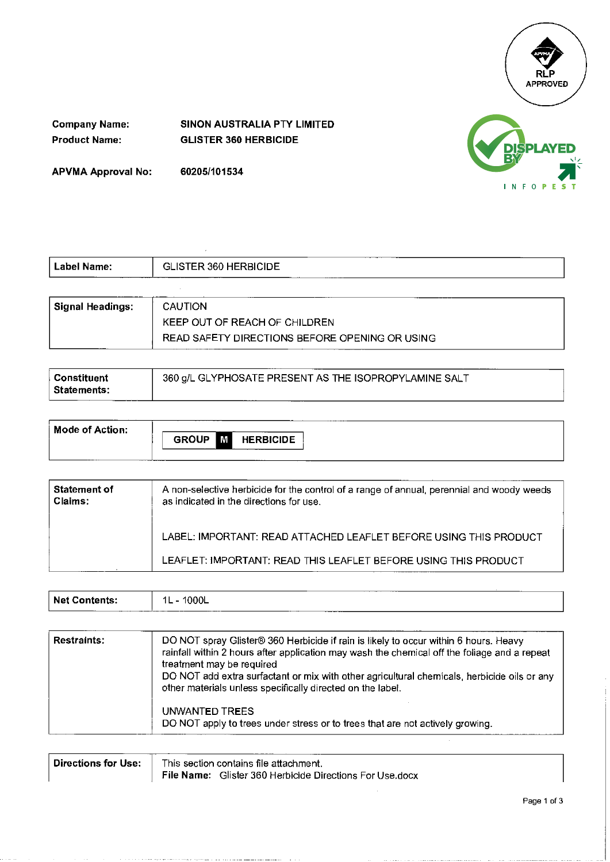

**Company Name: SINON AUSTRALIA PTY LIMITED Product Name: GLISTER 360 HERBICIDE** 

**APVMA Approval No: 60205/101534** 



| Label Name:      | GLISTER 360 HERBICIDE                          |  |  |
|------------------|------------------------------------------------|--|--|
|                  |                                                |  |  |
| Signal Headings: | CAUTION                                        |  |  |
|                  | KEEP OUT OF REACH OF CHILDREN                  |  |  |
|                  | READ SAFETY DIRECTIONS BEFORE OPENING OR USING |  |  |

| Constituent | 360 g/L GLYPHOSATE PRESENT AS THE ISOPROPYLAMINE SALT |
|-------------|-------------------------------------------------------|
| Statements: |                                                       |

| Mode of Action: |                                       |
|-----------------|---------------------------------------|
|                 | <b>GROUP</b><br>M<br><b>HERBICIDE</b> |
|                 |                                       |

| Statement of<br>Claims: | A non-selective herbicide for the control of a range of annual, perennial and woody weeds<br>as indicated in the directions for use. |
|-------------------------|--------------------------------------------------------------------------------------------------------------------------------------|
|                         | LABEL: IMPORTANT: READ ATTACHED LEAFLET BEFORE USING THIS PRODUCT                                                                    |
|                         | LEAFLET: IMPORTANT: READ THIS LEAFLET BEFORE USING THIS PRODUCT                                                                      |

|                                                 |                              | ______<br>----- |  |
|-------------------------------------------------|------------------------------|-----------------|--|
| <b>Net</b><br>------<br>·nıs.<br>_______<br>——— | 1L<br>्∪∪∟<br>________<br>__ | _________       |  |
| ____                                            |                              |                 |  |

| <b>Restraints:</b> | DO NOT spray Glister® 360 Herbicide if rain is likely to occur within 6 hours. Heavy<br>rainfall within 2 hours after application may wash the chemical off the foliage and a repeat<br>treatment may be required<br>DO NOT add extra surfactant or mix with other agricultural chemicals, herbicide oils or any<br>other materials unless specifically directed on the label. |
|--------------------|--------------------------------------------------------------------------------------------------------------------------------------------------------------------------------------------------------------------------------------------------------------------------------------------------------------------------------------------------------------------------------|
|                    | UNWANTED TREES<br>DO NOT apply to trees under stress or to trees that are not actively growing.                                                                                                                                                                                                                                                                                |

 $\hat{\boldsymbol{\beta}}$ 

| Directions for Use: | This section contains file attachment.                   |  |  |
|---------------------|----------------------------------------------------------|--|--|
|                     | File Name: Glister 360 Herbicide Directions For Use.docx |  |  |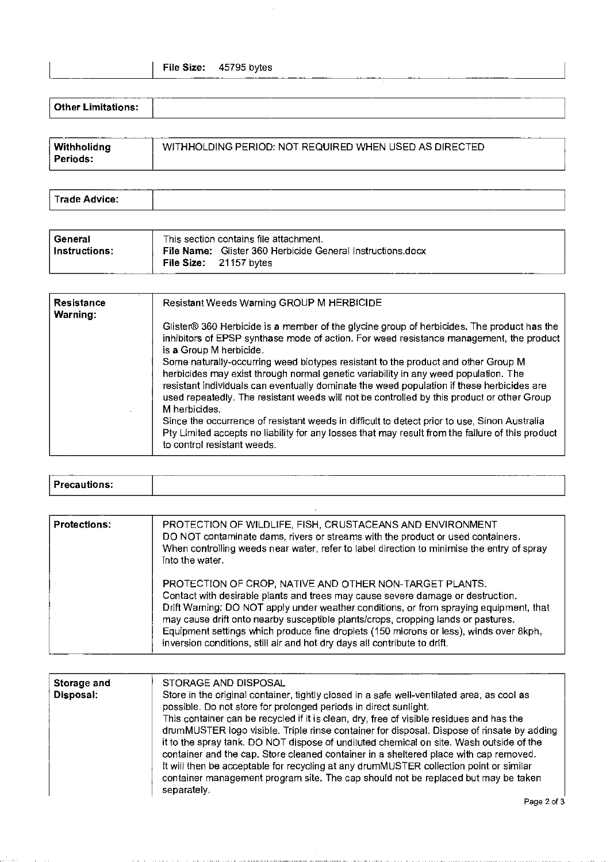| <b>Other Limitations:</b> | _______ |  | ----    |
|---------------------------|---------|--|---------|
|                           |         |  | _______ |

| WITHHOLDING PERIOD: NOT REQUIRED WHEN USED AS DIRECTED<br>Withholidng<br>Periods: |
|-----------------------------------------------------------------------------------|
|-----------------------------------------------------------------------------------|

| $\mathbf{\tau}$<br><b>ими</b><br>™IC⊨<br>.<br>. |  | _____<br>______ |  |
|-------------------------------------------------|--|-----------------|--|
|                                                 |  |                 |  |

| General       | This section contains file attachment.                     |
|---------------|------------------------------------------------------------|
| Instructions: | File Name: Glister 360 Herbicide General Instructions.docx |
|               | File Size: $21157$ bytes                                   |

| <b>Resistance</b><br>Warning: | Resistant Weeds Warning GROUP M HERBICIDE                                                                                                                                                                                                                                                                                                                                            |  |  |  |  |  |
|-------------------------------|--------------------------------------------------------------------------------------------------------------------------------------------------------------------------------------------------------------------------------------------------------------------------------------------------------------------------------------------------------------------------------------|--|--|--|--|--|
|                               | Glister® 360 Herbicide is a member of the glycine group of herbicides. The product has the<br>inhibitors of EPSP synthase mode of action. For weed resistance management, the product<br>is a Group M herbicide.                                                                                                                                                                     |  |  |  |  |  |
|                               | Some naturally-occurring weed biotypes resistant to the product and other Group M<br>herbicides may exist through normal genetic variability in any weed population. The<br>resistant individuals can eventually dominate the weed population if these herbicides are<br>used repeatedly. The resistant weeds will not be controlled by this product or other Group<br>M herbicides. |  |  |  |  |  |
|                               | Since the occurrence of resistant weeds in difficult to detect prior to use, Sinon Australia<br>Pty Limited accepts no liability for any losses that may result from the failure of this product<br>to control resistant weeds.                                                                                                                                                      |  |  |  |  |  |

| -<br><b>Drac</b> | ----------<br>___ | ------------<br>________<br>----------<br>______ |
|------------------|-------------------|--------------------------------------------------|
|                  |                   |                                                  |

| <b>Protections:</b> | PROTECTION OF WILDLIFE, FISH, CRUSTACEANS AND ENVIRONMENT<br>DO NOT contaminate dams, rivers or streams with the product or used containers.<br>When controlling weeds near water, refer to label direction to minimise the entry of spray<br>into the water.                                                                                                                                                                                                                                    |  |  |  |  |
|---------------------|--------------------------------------------------------------------------------------------------------------------------------------------------------------------------------------------------------------------------------------------------------------------------------------------------------------------------------------------------------------------------------------------------------------------------------------------------------------------------------------------------|--|--|--|--|
|                     | PROTECTION OF CROP, NATIVE AND OTHER NON-TARGET PLANTS.<br>Contact with desirable plants and trees may cause severe damage or destruction.<br>Drift Warning: DO NOT apply under weather conditions, or from spraying equipment, that<br>may cause drift onto nearby susceptible plants/crops, cropping lands or pastures.<br>Equipment settings which produce fine droplets (150 microns or less), winds over 8kph,<br>inversion conditions, still air and hot dry days all contribute to drift. |  |  |  |  |

| Storage and | STORAGE AND DISPOSAL                                                                                                                                                                                                                                                                                                                                                                                                                                                                                                                                                      |
|-------------|---------------------------------------------------------------------------------------------------------------------------------------------------------------------------------------------------------------------------------------------------------------------------------------------------------------------------------------------------------------------------------------------------------------------------------------------------------------------------------------------------------------------------------------------------------------------------|
| Disposal:   | Store in the original container, tightly closed in a safe well-ventilated area, as cool as<br>possible. Do not store for prolonged periods in direct sunlight.                                                                                                                                                                                                                                                                                                                                                                                                            |
|             | This container can be recycled if it is clean, dry, free of visible residues and has the<br>drumMUSTER logo visible. Triple rinse container for disposal. Dispose of rinsate by adding<br>it to the spray tank. DO NOT dispose of undiluted chemical on site. Wash outside of the<br>container and the cap. Store cleaned container in a sheltered place with cap removed.<br>It will then be acceptable for recycling at any drumMUSTER collection point or similar<br>container management program site. The cap should not be replaced but may be taken<br>separately. |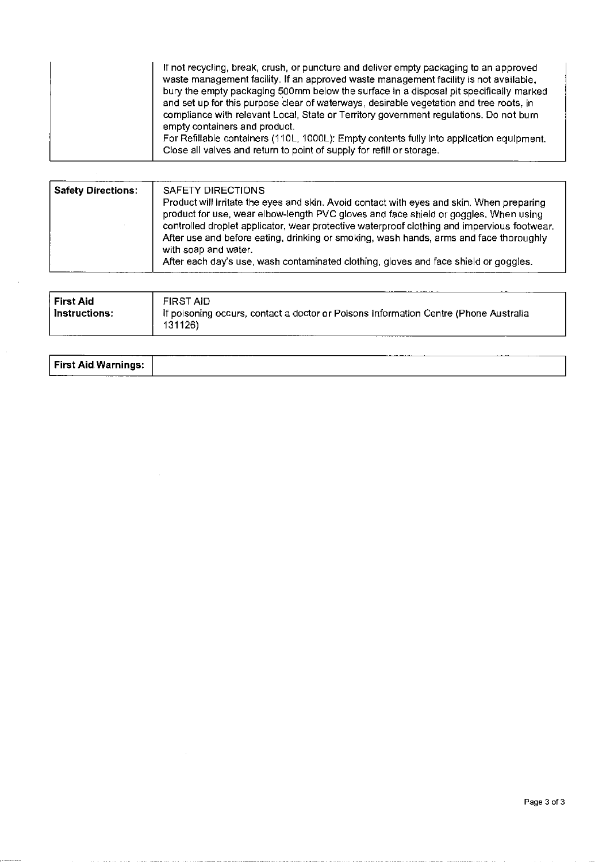| If not recycling, break, crush, or puncture and deliver empty packaging to an approved<br>waste management facility. If an approved waste management facility is not available,<br>bury the empty packaging 500mm below the surface in a disposal pit specifically marked<br>and set up for this purpose clear of waterways, desirable vegetation and tree roots, in<br>compliance with relevant Local, State or Territory government regulations. Do not burn<br>empty containers and product.<br>For Refillable containers (110L, 1000L): Empty contents fully into application equipment.<br>Close all valves and return to point of supply for refill or storage. |
|-----------------------------------------------------------------------------------------------------------------------------------------------------------------------------------------------------------------------------------------------------------------------------------------------------------------------------------------------------------------------------------------------------------------------------------------------------------------------------------------------------------------------------------------------------------------------------------------------------------------------------------------------------------------------|
|-----------------------------------------------------------------------------------------------------------------------------------------------------------------------------------------------------------------------------------------------------------------------------------------------------------------------------------------------------------------------------------------------------------------------------------------------------------------------------------------------------------------------------------------------------------------------------------------------------------------------------------------------------------------------|

| <b>Safety Directions:</b> | SAFETY DIRECTIONS<br>Product will irritate the eyes and skin. Avoid contact with eyes and skin. When preparing<br>product for use, wear elbow-length PVC gloves and face shield or goggles. When using<br>controlled droplet applicator, wear protective waterproof clothing and impervious footwear.<br>After use and before eating, drinking or smoking, wash hands, arms and face thoroughly<br>with soap and water.<br>After each day's use, wash contaminated clothing, gloves and face shield or goggles. |
|---------------------------|-----------------------------------------------------------------------------------------------------------------------------------------------------------------------------------------------------------------------------------------------------------------------------------------------------------------------------------------------------------------------------------------------------------------------------------------------------------------------------------------------------------------|
|                           |                                                                                                                                                                                                                                                                                                                                                                                                                                                                                                                 |

| First Aid <br>Instructions: | FIRST AID<br>If poisoning occurs, contact a doctor or Poisons Information Centre (Phone Australia<br>131126) |
|-----------------------------|--------------------------------------------------------------------------------------------------------------|
|-----------------------------|--------------------------------------------------------------------------------------------------------------|

| First Aid Warnings: |
|---------------------|
|---------------------|

 $\sim$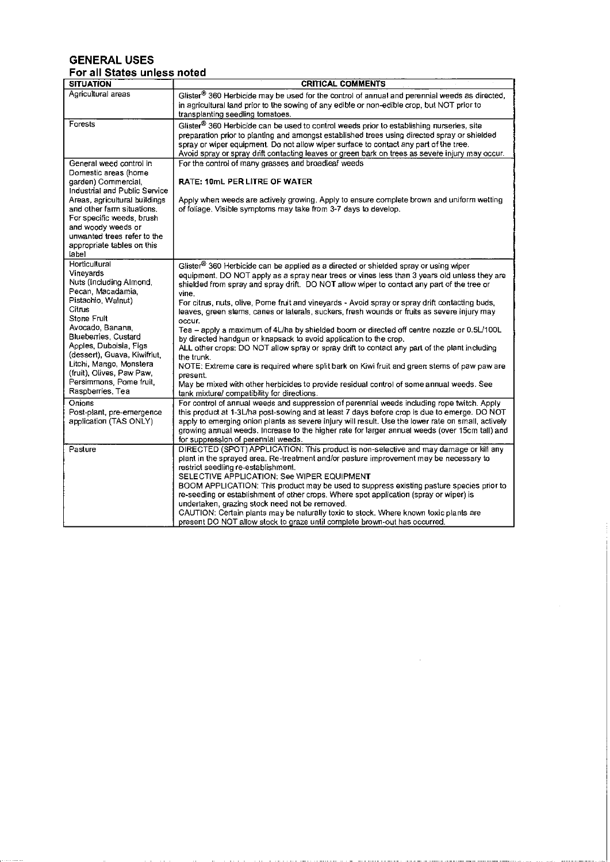# GENERAL USES For all States unless noted

| <b>SITUATION</b>                     | <b>CRITICAL COMMENTS</b>                                                                                                                                                           |
|--------------------------------------|------------------------------------------------------------------------------------------------------------------------------------------------------------------------------------|
| Agricultural areas                   | Glister <sup>®</sup> 360 Herbicide may be used for the control of annual and perennial weeds as directed,                                                                          |
|                                      | in agricultural land prior to the sowing of any edible or non-edible crop, but NOT prior to                                                                                        |
|                                      | transplanting seedling tomatoes.                                                                                                                                                   |
| Forests                              | Glister <sup>®</sup> 360 Herbicide can be used to control weeds prior to establishing nurseries, site                                                                              |
|                                      | preparation prior to planting and amongst established trees using directed spray or shielded                                                                                       |
|                                      | spray or wiper equipment. Do not allow wiper surface to contact any part of the tree.                                                                                              |
|                                      | Avoid spray or spray drift contacting leaves or green bark on trees as severe injury may occur.                                                                                    |
| General weed control in              | For the control of many grasses and broadleaf weeds                                                                                                                                |
| Domestic areas (home                 |                                                                                                                                                                                    |
| garden) Commercial,                  | <b>RATE: 10mL PER LITRE OF WATER</b>                                                                                                                                               |
| Industrial and Public Service        |                                                                                                                                                                                    |
| Areas, agricultural buildings        | Apply when weeds are actively growing. Apply to ensure complete brown and uniform wetting                                                                                          |
| and other farm situations.           | of foliage. Visible symptoms may take from 3-7 days to develop.                                                                                                                    |
| For specific weeds, brush            |                                                                                                                                                                                    |
| and woody weeds or                   |                                                                                                                                                                                    |
| unwanted trees refer to the          |                                                                                                                                                                                    |
| appropriate tables on this           |                                                                                                                                                                                    |
| label                                |                                                                                                                                                                                    |
| Horticultural                        | Glister <sup>®</sup> 360 Herbicide can be applied as a directed or shielded spray or using wiper                                                                                   |
| Vineyards<br>Nuts (Including Almond, | equipment. DO NOT apply as a spray near trees or vines less than 3 years old unless they are                                                                                       |
| Pecan Macadamia,                     | shielded from spray and spray drift. DO NOT allow wiper to contact any part of the tree or                                                                                         |
| Pistachio Walnut)                    | vine.                                                                                                                                                                              |
| Citrus                               | For citrus, nuts, olive, Pome fruit and vineyards - Avoid spray or spray drift contacting buds,                                                                                    |
| Stone Fruit                          | leaves, green stems, canes or laterals, suckers, fresh wounds or fruits as severe injury may                                                                                       |
| Avocado, Banana,                     | occur.<br>Tea - apply a maximum of 4L/ha by shielded boom or directed off centre nozzle or 0.5L/100L                                                                               |
| <b>Blueberries</b> , Custard         | by directed handgun or knapsack to avoid application to the crop.                                                                                                                  |
| Apples, Duboisia, Figs               | ALL other crops: DO NOT allow spray or spray drift to contact any part of the plant including                                                                                      |
| (dessert), Guava, Kiwifriut,         | the trunk.                                                                                                                                                                         |
| Litchi, Mango, Monstera              | NOTE: Extreme care is required where split bark on Kiwi fruit and green stems of paw paw are                                                                                       |
| (fruit), Olives, Paw Paw,            | present.                                                                                                                                                                           |
| Persimmons, Pome fruit,              | May be mixed with other herbicides to provide residual control of some annual weeds. See                                                                                           |
| Raspberries, Tea                     | tank mixture/ compatibility for directions.                                                                                                                                        |
| Onions                               | For control of annual weeds and suppression of perennial weeds including rope twitch. Apply                                                                                        |
| Post-plant, pre-emergence            | this product at 1-3L/ha post-sowing and at least 7 days before crop is due to emerge. DO NOT                                                                                       |
| application (TAS ONLY)               | apply to emerging onion plants as severe injury will result. Use the lower rate on small, actively                                                                                 |
|                                      | growing annual weeds. Increase to the higher rate for larger annual weeds (over 15cm tall) and                                                                                     |
|                                      | for suppression of perennial weeds.                                                                                                                                                |
| Pasture                              | DIRECTED (SPOT) APPLICATION: This product is non-selective and may damage or kill any                                                                                              |
|                                      | plant in the sprayed area. Re-treatment and/or pasture improvement may be necessary to                                                                                             |
|                                      | restrict seedling re-establishment.                                                                                                                                                |
|                                      | SELECTIVE APPLICATION: See WIPER EQUIPMENT                                                                                                                                         |
|                                      | BOOM APPLICATION: This product may be used to suppress existing pasture species prior to<br>re-seeding or establishment of other crops. Where spot application (spray or wiper) is |
|                                      | undertaken, grazing stock need not be removed.                                                                                                                                     |
|                                      | CAUTION: Certain plants may be naturally toxic to stock. Where known toxic plants are                                                                                              |
|                                      | present DO NOT allow stock to graze until complete brown-out has occurred                                                                                                          |
|                                      |                                                                                                                                                                                    |

Щ,

 $\alpha$  is a maximum and

 $\sim$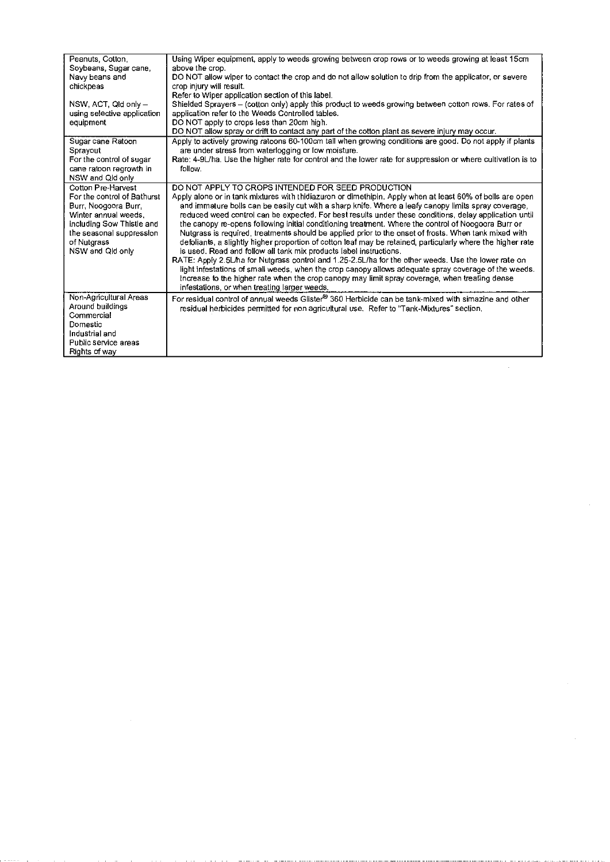| Peanuts, Cotton,            | Using Wiper equipment, apply to weeds growing between crop rows or to weeds growing at least 15cm            |
|-----------------------------|--------------------------------------------------------------------------------------------------------------|
| Soybeans, Sugar cane,       | above the crop.                                                                                              |
| Navy beans and              | DO NOT allow wiper to contact the crop and do not allow solution to drip from the applicator, or severe      |
| chickpeas                   | crop injury will result.                                                                                     |
|                             | Refer to Wiper application section of this label.                                                            |
| NSW, ACT, Qld only -        | Shielded Sprayers - (cotton only) apply this product to weeds growing between cotton rows. For rates of      |
| using selective application | application refer to the Weeds Controlled tables.                                                            |
| equipment                   | DO NOT apply to crops less than 20cm high.                                                                   |
|                             | DO NOT allow spray or drift to contact any part of the cotton plant as severe injury may occur.              |
| Sugar cane Ratoon           | Apply to actively growing ratoons 60-100cm tall when growing conditions are good. Do not apply if plants     |
| Sprayout                    | are under stress from waterlogging or low moisture.                                                          |
| For the control of sugar    | Rate: 4-9L/ha. Use the higher rate for control and the lower rate for suppression or where cultivation is to |
| cane ratoon regrowth in     | follow.                                                                                                      |
| NSW and Qld only            |                                                                                                              |
| Cotton Pre-Harvest          | DO NOT APPLY TO CROPS INTENDED FOR SEED PRODUCTION                                                           |
| For the control of Bathurst | Apply alone or in tank mixtures with thidiazuron or dimethipin. Apply when at least 60% of bolls are open    |
| Burr, Noogoora Burr,        | and immature bolls can be easily cut with a sharp knife. Where a leafy canopy limits spray coverage,         |
| Winter annual weeds,        | reduced weed control can be expected. For best results under these conditions, delay application until       |
| including Sow Thistle and   | the canopy re-opens following initial conditioning treatment. Where the control of Noogoora Burr or          |
| the seasonal suppression    | Nutgrass is required, treatments should be applied prior to the onset of frosts. When tank mixed with        |
| of Nutgrass                 | defoliants, a slightly higher proportion of cotton leaf may be retained, particularly where the higher rate  |
| NSW and Qld only            | is used. Read and follow all tank mix products label instructions.                                           |
|                             | RATE: Apply 2.5L/ha for Nutgrass control and 1.25-2.5L/ha for the other weeds. Use the lower rate on         |
|                             | light infestations of small weeds, when the crop canopy allows adequate spray coverage of the weeds.         |
|                             | Increase to the higher rate when the crop canopy may limit spray coverage, when treating dense               |
|                             | infestations, or when treating larger weeds.                                                                 |
| Non-Agricultural Areas      | For residual control of annual weeds Glister® 360 Herbicide can be tank-mixed with simazine and other        |
| Around buildings            | residual herbicides permitted for non agricultural use. Refer to "Tank-Mixtures" section.                    |
| Commercial                  |                                                                                                              |
| Domestic                    |                                                                                                              |
| Industrial and              |                                                                                                              |
| Public service areas        |                                                                                                              |
| Rights of way               |                                                                                                              |

 $\sim$  40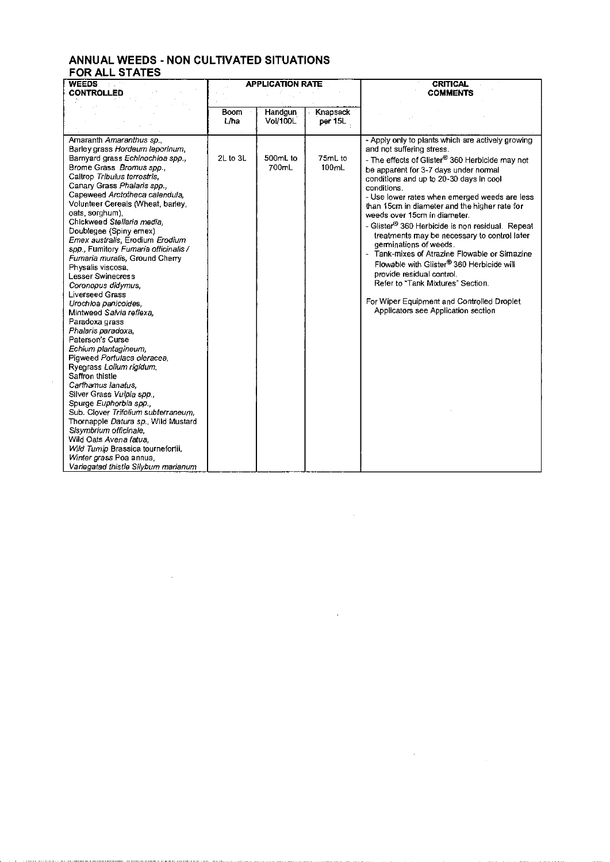# ANNUAL WEEDS- NON CULTIVATED SITUATIONS FOR ALL STATES

 $\mathcal{L}_{\mathcal{A}}$ 

 $\sim$   $\sim$ 

| <b>WEEDS</b>                                                                                                                                                                                                                                                                                                                                                                                                                                                                                                                             | <b>APPLICATION RATE</b> |                     |                     | <b>CRITICAL</b>                                                                                                                                                                                                                                                                                                                                                        |  |
|------------------------------------------------------------------------------------------------------------------------------------------------------------------------------------------------------------------------------------------------------------------------------------------------------------------------------------------------------------------------------------------------------------------------------------------------------------------------------------------------------------------------------------------|-------------------------|---------------------|---------------------|------------------------------------------------------------------------------------------------------------------------------------------------------------------------------------------------------------------------------------------------------------------------------------------------------------------------------------------------------------------------|--|
| <b>CONTROLLED</b>                                                                                                                                                                                                                                                                                                                                                                                                                                                                                                                        |                         |                     |                     | <b>COMMENTS</b>                                                                                                                                                                                                                                                                                                                                                        |  |
|                                                                                                                                                                                                                                                                                                                                                                                                                                                                                                                                          |                         |                     |                     |                                                                                                                                                                                                                                                                                                                                                                        |  |
|                                                                                                                                                                                                                                                                                                                                                                                                                                                                                                                                          | <b>Boom</b><br>L/ha     | Handgun<br>Vol/100L | Knapsack<br>per 15L |                                                                                                                                                                                                                                                                                                                                                                        |  |
|                                                                                                                                                                                                                                                                                                                                                                                                                                                                                                                                          |                         |                     |                     |                                                                                                                                                                                                                                                                                                                                                                        |  |
| Amaranth Amaranthus sp.,<br>Barley grass Hordeum leporinum.<br>Barnyard grass Echinochloa spp.,<br>Brome Grass Bromus spp.,<br>Caltrop Tribulus terrestris.<br>Canary Grass Phalaris spp.,<br>Capeweed Arctotheca calendula,<br>Volunteer Cereals (Wheat, barley,<br>oats, sorghum),<br>Chickweed Stellaria media.                                                                                                                                                                                                                       | 2L to 3L                | 500mL to<br>700mL   | 75mL to<br>100mL    | - Apply only to plants which are actively growing<br>and not suffering stress.<br>- The effects of Glister® 360 Herbicide may not<br>be apparent for 3-7 days under normal<br>conditions and up to 20-30 days in cool<br>conditions.<br>- Use lower rates when emerged weeds are less<br>than 15cm in diameter and the higher rate for<br>weeds over 15cm in diameter. |  |
| Doublegee (Spiny emex)<br>Emex australis, Erodium Erodium<br>spp., Fumitory Fumaria officinalis /<br>Fumaria muralis, Ground Cherry<br>Physalis viscosa.<br>Lesser Swinecress<br>Coronopus didymus,<br>Liverseed Grass                                                                                                                                                                                                                                                                                                                   |                         |                     |                     | - Glister® 360 Herbicide is non residual. Repeat<br>treatments may be necessary to control later<br>germinations of weeds.<br>Tank-mixes of Atrazine Flowable or Simazine<br>Flowable with Glister® 360 Herbicide will<br>provide residual control.<br>Refer to "Tank Mixtures" Section.                                                                               |  |
| Urochloa panicoides,<br>Mintweed Salvia reflexa.<br>Paradoxa grass<br>Phalaris paradoxa,<br>Paterson's Curse<br>Echium plantagineum.<br>Pigweed Portulaca oleracea.<br>Ryegrass Lolium rigidum,<br>Saffron thistle<br>Carthamus lanatus.<br>Silver Grass Vulpia spp.,<br>Spurge Euphorbia spp.,<br>Sub. Clover Trifolium subterraneum,<br>Thornapple Datura sp., Wild Mustard<br>Sisymbrium officinale,<br>Wild Oats Avena fatua.<br>Wild Tumip Brassica tournefortii,<br>Winter grass Poa annua,<br>Variegatad thistle Silybum marianum |                         |                     |                     | For Wiper Equipment and Controlled Droplet<br>Applicators see Application section                                                                                                                                                                                                                                                                                      |  |

 $\sim$ 

 $\sim 10^{-11}$ 

 $\label{eq:2.1} \frac{1}{\sqrt{2}}\left(\frac{1}{\sqrt{2}}\right)^{2} \left(\frac{1}{\sqrt{2}}\right)^{2} \left(\frac{1}{\sqrt{2}}\right)^{2} \left(\frac{1}{\sqrt{2}}\right)^{2} \left(\frac{1}{\sqrt{2}}\right)^{2} \left(\frac{1}{\sqrt{2}}\right)^{2} \left(\frac{1}{\sqrt{2}}\right)^{2} \left(\frac{1}{\sqrt{2}}\right)^{2} \left(\frac{1}{\sqrt{2}}\right)^{2} \left(\frac{1}{\sqrt{2}}\right)^{2} \left(\frac{1}{\sqrt{2}}\right)^{2} \left(\$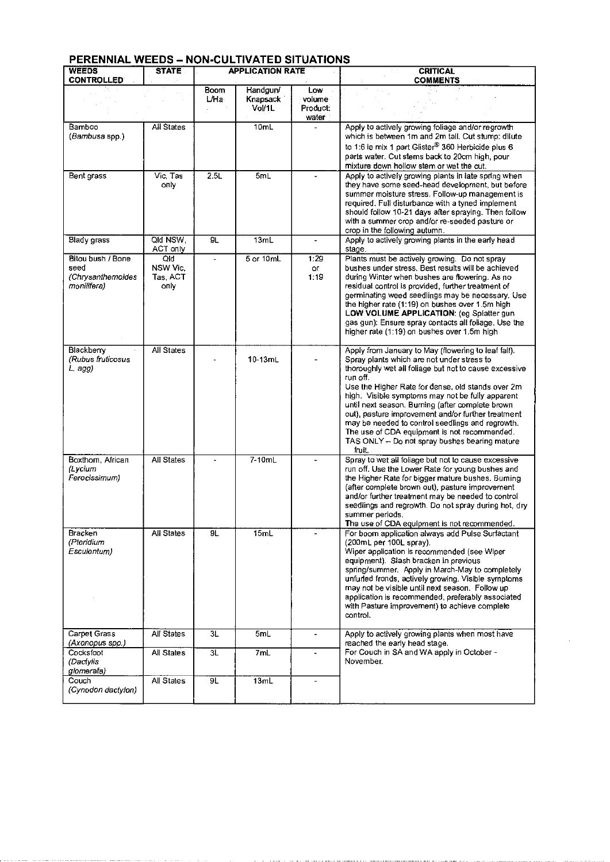# PERENNIAL WEEDS- NON-CULTIVATED SITUATIONS

والافتراد والسرواني والتمام

ومالات الأرادي لاعتراض الطامين والمستطير والمتاركين

| <b>WEEDS</b><br><b>CONTROLLED</b> | <b>STATE</b>      | <b>APPLICATION RATE</b> |           |                          | <b>CRITICAL</b><br><b>COMMENTS</b>                                                                   |
|-----------------------------------|-------------------|-------------------------|-----------|--------------------------|------------------------------------------------------------------------------------------------------|
|                                   |                   | Boom                    | Handgun/  | Low                      |                                                                                                      |
|                                   |                   | ⊔Ha                     | Knapsack  | volume                   |                                                                                                      |
|                                   |                   |                         |           |                          |                                                                                                      |
|                                   |                   |                         | Vol/1L    | <b>Product:</b>          |                                                                                                      |
|                                   |                   |                         | 10mL      | water                    |                                                                                                      |
| Bamboo                            | All States        |                         |           |                          | Apply to actively growing foliage and/or regrowth                                                    |
| (Bambusa spp.)                    |                   |                         |           |                          | which is between 1m and 2m tall. Cut stump: dilute                                                   |
|                                   |                   |                         |           |                          | to 1:6 ie mix 1 part Glister® 360 Herbicide plus 6                                                   |
|                                   |                   |                         |           |                          | parts water. Cut stems back to 20cm high, pour                                                       |
|                                   |                   |                         |           |                          | mixture down hollow stem or wet the cut.                                                             |
| Bent grass                        | Vic, Tas          | 2.5L                    | 5mL       |                          | Apply to actively growing plants in late spring when                                                 |
|                                   | опіу.             |                         |           |                          | they have some seed-head development, but before                                                     |
|                                   |                   |                         |           |                          | summer moisture stress. Follow-up management is<br>required. Full disturbance with a tyned implement |
|                                   |                   |                         |           |                          | should follow 10-21 days after spraying. Then follow                                                 |
|                                   |                   |                         |           |                          | with a summer crop and/or re-seeded pasture or                                                       |
|                                   |                   |                         |           |                          | crop in the following autumn.                                                                        |
| Blady grass                       | QId NSW.          | 9L                      | 13mL      |                          | Apply to actively growing plants in the early head                                                   |
|                                   | ACT only          |                         |           |                          | stage.                                                                                               |
| Bitou bush / Bone                 | Qld               |                         | 5 or 10mL | 1:29                     | Plants must be actively growing. Do not spray                                                        |
| seed                              | NSW Vic.          |                         |           | or.                      | bushes under stress. Best results will be achieved                                                   |
| (Chrysanthemoides                 | Tas, ACT          |                         |           | 1:19                     | during Winter when bushes are flowering. As no                                                       |
| monilifera)                       | o⊓iv              |                         |           |                          | residual control is provided, further treatment of                                                   |
|                                   |                   |                         |           |                          | germinating weed seedlings may be necessary. Use                                                     |
|                                   |                   |                         |           |                          | the higher rate (1:19) on bushes over 1.5m high                                                      |
|                                   |                   |                         |           |                          | LOW VOLUME APPLICATION: (eg Spiatter gun                                                             |
|                                   |                   |                         |           |                          | gas gun): Ensure spray contacts all foliage. Use the                                                 |
|                                   |                   |                         |           |                          | higher rate (1:19) on bushes over 1.5m high                                                          |
| Blackberry                        | All States        |                         |           |                          | Apply from January to May (flowering to leaf fall).                                                  |
| (Rubus fruticosus                 |                   |                         | $10-13mL$ |                          | Spray plants which are not under stress to                                                           |
| L agg)                            |                   |                         |           |                          | thoroughly wet all foliage but not to cause excessive                                                |
|                                   |                   |                         |           |                          | run off.                                                                                             |
|                                   |                   |                         |           |                          | Use the Higher Rate for dense, old stands over 2m                                                    |
|                                   |                   |                         |           |                          | high. Visible symptoms may not be fully apparent                                                     |
|                                   |                   |                         |           |                          | until next season. Burning (after complete brown                                                     |
|                                   |                   |                         |           |                          | out), pasture improvement and/or further treatment                                                   |
|                                   |                   |                         |           |                          | may be needed to control seedlings and regrowth.                                                     |
|                                   |                   |                         |           |                          | The use of CDA equipment is not recommended.                                                         |
|                                   |                   |                         |           |                          | TAS ONLY - Do not spray bushes bearing mature                                                        |
|                                   |                   |                         |           |                          | fruit.                                                                                               |
| Boxthorn, African                 | All States        |                         | 7-10mL    |                          | Spray to wet all foliage but not to cause excessive                                                  |
| (Lycium<br>Ferocissimum)          |                   |                         |           |                          | run off. Use the Lower Rate for young bushes and                                                     |
|                                   |                   |                         |           |                          | the Higher Rate for bigger mature bushes. Burning<br>(after complete brown out), pasture improvement |
|                                   |                   |                         |           |                          | and/or further treatment may be needed to control                                                    |
|                                   |                   |                         |           |                          | seedlings and regrowth. Do not spray during hot, dry                                                 |
|                                   |                   |                         |           |                          | summer periods.                                                                                      |
|                                   |                   |                         |           |                          | The use of CDA equipment is not recommended.                                                         |
| Bracken                           | <b>All States</b> | 9L                      | 15mL      |                          | For boom application always add Pulse Surfactant                                                     |
| (Pteridium                        |                   |                         |           |                          | (200mL per 100L spray).                                                                              |
| Esculentum)                       |                   |                         |           |                          | Wiper application is recommended (see Wiper                                                          |
|                                   |                   |                         |           |                          | equipment). Slash bracken in previous                                                                |
|                                   |                   |                         |           |                          | spring/summer. Apply in March-May to completely                                                      |
|                                   |                   |                         |           |                          | unfurled fronds, actively growing. Visible symptoms                                                  |
|                                   |                   |                         |           |                          | may not be visible until next season. Follow up                                                      |
|                                   |                   |                         |           |                          | application is recommended, preferably associated                                                    |
|                                   |                   |                         |           |                          | with Pasture improvement) to achieve complete<br>control.                                            |
|                                   |                   |                         |           |                          |                                                                                                      |
| Carpet Grass                      | All States        | 3L                      | 5mL       |                          | Apply to actively growing plants when most have                                                      |
| (Axonopus spp.)                   |                   |                         |           |                          | reached the early head stage.                                                                        |
| Cockstoot                         | All States        | 3L                      | 7mL       |                          | For Couch in SA and WA apply in October -                                                            |
| (Dactylis                         |                   |                         |           |                          | November.                                                                                            |
| giomerata)                        |                   |                         |           |                          |                                                                                                      |
| Couch                             | All States        | 9L                      | 13mL      | $\overline{\phantom{a}}$ |                                                                                                      |
| (Cynodon dactylon)                |                   |                         |           |                          |                                                                                                      |
|                                   |                   |                         |           |                          |                                                                                                      |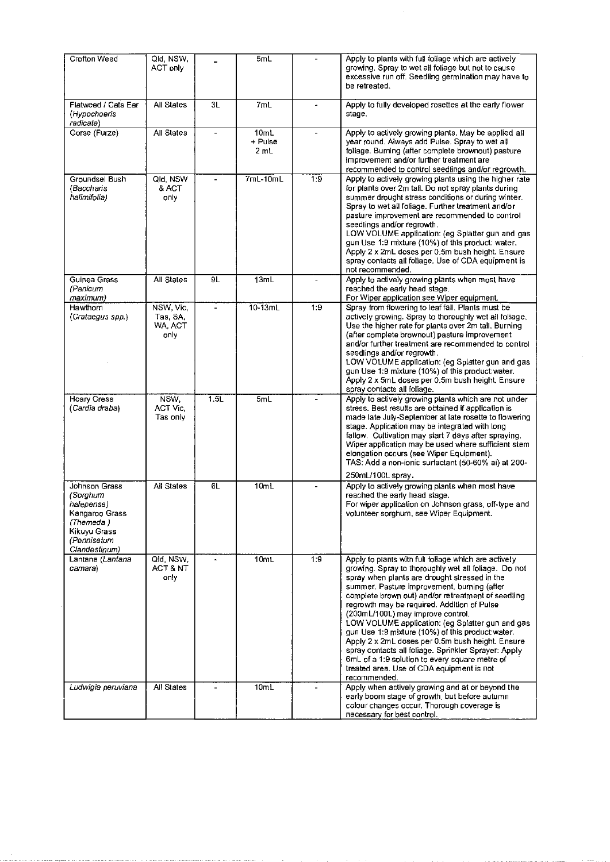| Crofton Weed                                                                                                           | Qld, NSW,<br>ACT only                    |                          | 5mL                     |                | Apply to plants with full foliage which are actively<br>growing. Spray to wet all foliage but not to cause<br>excessive run off. Seedling germination may have to<br>be retreated.                                                                                                                                                                                                                                                                                                                                                                                                                                                                                                        |
|------------------------------------------------------------------------------------------------------------------------|------------------------------------------|--------------------------|-------------------------|----------------|-------------------------------------------------------------------------------------------------------------------------------------------------------------------------------------------------------------------------------------------------------------------------------------------------------------------------------------------------------------------------------------------------------------------------------------------------------------------------------------------------------------------------------------------------------------------------------------------------------------------------------------------------------------------------------------------|
| Flatweed / Cats Ear<br>(Hypochoeris<br>radicata)                                                                       | All States                               | 3L                       | 7ml                     |                | Apply to fully developed rosettes at the early flower<br>stage.                                                                                                                                                                                                                                                                                                                                                                                                                                                                                                                                                                                                                           |
| Gorse (Furze)                                                                                                          | All States                               | $\overline{\phantom{a}}$ | 10mL<br>+ Pulse<br>2 mL |                | Apply to actively growing plants. May be applied all<br>year round. Always add Pulse. Spray to wet all<br>foliage. Burning (after complete brownout) pasture<br>improvement and/or further treatment are<br>recommended to control seedlings and/or regrowth.                                                                                                                                                                                                                                                                                                                                                                                                                             |
| Groundsel Bush<br>(Bacchans<br>halimitolia)                                                                            | Qld, NSW<br>& ACT<br>only                | $\overline{a}$           | $7mL-10mL$              | 1.9            | Apply to actively growing plants using the higher rate<br>for plants over 2m tall. Do not spray plants during<br>summer drought stress conditions or during winter.<br>Spray to wet all foliage. Further treatment and/or<br>pasture improvement are recommended to control<br>seedlings and/or regrowth.<br>LOW VOLUME application: (eg Splatter gun and gas<br>gun Use 1:9 mixture (10%) of this product: water.<br>Apply 2 x 2mL doses per 0.5m bush height. Ensure<br>spray contacts all foliage. Use of CDA equipment is<br>not recommended.                                                                                                                                         |
| Guinea Grass<br>(Panicum<br>maximum)                                                                                   | All States                               | 9L                       | 13mL                    | $\blacksquare$ | Apply to actively growing plants when most have<br>reached the early head stage.<br>For Wiper application see Wiper equipment.                                                                                                                                                                                                                                                                                                                                                                                                                                                                                                                                                            |
| Hawthorn<br>(Crataegus spp.)                                                                                           | NSW, Vic,<br>Tas, SA,<br>WA, ACT<br>only |                          | $10-13mL$               | 1:9            | Spray from flowering to leaf fall. Plants must be<br>actively growing. Spray to thoroughly wet all foliage.<br>Use the higher rate for plants over 2m tall. Burning<br>(after complete brownout) pasture improvement<br>and/or further treatment are recommended to control<br>seedlings and/or regrowth.<br>LOW VOLUME application: (eg Splatter gun and gas<br>gun Use 1:9 mixture (10%) of this product:water.<br>Apply 2 x 5mL doses per 0.5m bush height. Ensure<br>spray contacts all foliage.                                                                                                                                                                                      |
| <b>Hoary Cress</b><br>(Cardia draba)                                                                                   | NSW.<br><b>ACT Vic.</b><br>Tas only      | $\overline{1.5L}$        | 5mL                     |                | Apply to actively growing plants which are not under<br>stress. Best results are obtained if application is<br>made late July-September at late rosette to flowering<br>stage. Application may be integrated with long<br>fallow. Cultivation may start 7 days after spraying.<br>Wiper application may be used where sufficient stem<br>elongation occurs (see Wiper Equipment).<br>TAS: Add a non-ionic surfactant (50-60% ai) at 200-<br>250mL/100L spray.                                                                                                                                                                                                                             |
| Johnson Grass<br>(Sorghum<br>halepense)<br>Kangaroo Grass<br>(Themeda)<br>Kikuyu Grass<br>(Pennisetum<br>Clandestinum) | All States                               | 6L                       | 10mL                    |                | Apply to actively growing plants when most have<br>reached the early head stage.<br>For wiper application on Johnson grass, off-type and<br>volunteer sorghum, see Wiper Equipment.                                                                                                                                                                                                                                                                                                                                                                                                                                                                                                       |
| Lantana (Lantana<br>camara)                                                                                            | Qld, NSW.<br>ACT & NT<br>only            |                          | 10mL                    | 1:9            | Apply to plants with full foliage which are actively<br>growing. Spray to thoroughly wet all foliage. Do not<br>spray when plants are drought stressed in the<br>summer. Pasture improvement, burning (after<br>complete brown out) and/or retreatment of seedling<br>regrowth may be required. Addition of Pulse<br>(200mL/100L) may improve control.<br>LOW VOLUME application: (eg Splatter gun and gas<br>gun Use 1:9 mixture (10%) of this product:water.<br>Apply 2 x 2mL doses per 0.5m bush height. Ensure<br>spray contacts all foliage. Sprinkler Sprayer: Apply<br>6mL of a 1:9 solution to every square metre of<br>treated area. Use of CDA equipment is not<br>recommended. |
| Ludwigia peruviana                                                                                                     | All States                               |                          | 10mL                    |                | Apply when actively growing and at or beyond the<br>early boom stage of growth, but before autumn<br>colour changes occur. Thorough coverage is<br>necessary for best control.                                                                                                                                                                                                                                                                                                                                                                                                                                                                                                            |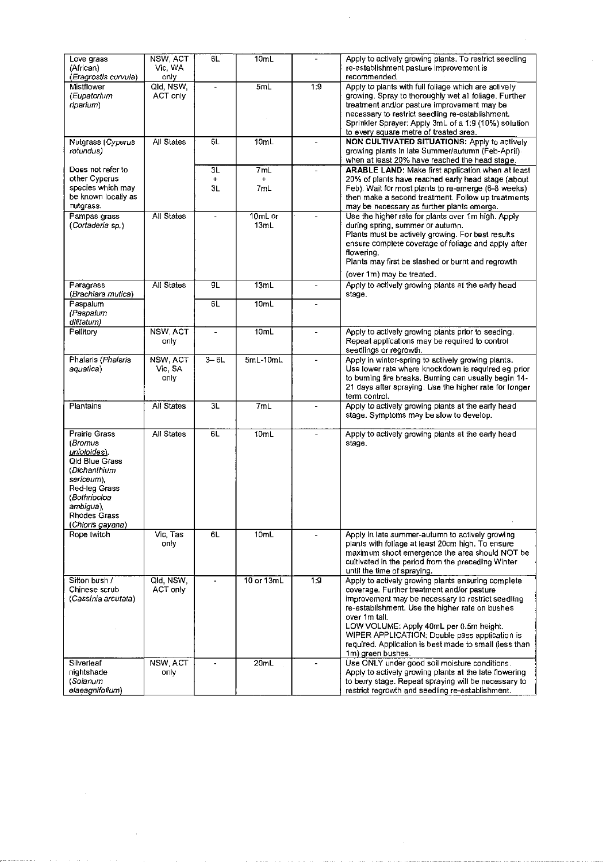| Love grass<br>(African)<br>(Eragrostis curvula)                                                                                                                            | NSW, ACT<br>Vic, WA<br>only | 6L              | 10mL                    |                | Apply to actively growing plants. To restrict seedling<br>re-establishment pasture improvement is<br>recommended.                                                                                                                                                                                                                                                                                    |
|----------------------------------------------------------------------------------------------------------------------------------------------------------------------------|-----------------------------|-----------------|-------------------------|----------------|------------------------------------------------------------------------------------------------------------------------------------------------------------------------------------------------------------------------------------------------------------------------------------------------------------------------------------------------------------------------------------------------------|
| Mistflower<br>(Eupatorium<br>riparium)                                                                                                                                     | Qld, NSW,<br>ACT only       | $\blacksquare$  | 5mL                     | 1:9            | Apply to plants with full foliage which are actively<br>growing. Spray to thoroughly wet all foliage. Further<br>treatment and/or pasture improvement may be<br>necessary to restrict seedling re-establishment.<br>Sprinkler Sprayer: Apply 3mL of a 1:9 (10%) solution<br>to every square metre of treated area.                                                                                   |
| Nutgrass (Cyperus<br>rotundus)                                                                                                                                             | All States                  | 6L              | 10mL                    | $\overline{a}$ | NON CULTIVATED SITUATIONS: Apply to actively<br>growing plants in late Summer/autumn (Feb-April).<br>when at least 20% have reached the head stage.                                                                                                                                                                                                                                                  |
| Does not refer to<br>other Cyperus<br>species which may<br>be known locally as<br>nutgrass.                                                                                |                             | 3L<br>+<br>ЗL   | 7mL<br>$\ddot{}$<br>7mL |                | ARABLE LAND: Make first application when at least<br>20% of plants have reached early head stage (about<br>Feb). Wait for most plants to re-emerge (6-8 weeks)<br>then make a second treatment. Follow up treatments<br>may be necessary as further plants emerge.                                                                                                                                   |
| Pampas grass<br>(Cortaderia sp.)                                                                                                                                           | All States                  | $\blacksquare$  | $10m$ L or<br>13mL      |                | Use the higher rate for plants over 1m high. Apply<br>during spring, summer or autumn.<br>Plants must be actively growing. For best results<br>ensure complete coverage of foliage and apply after<br>flowering.<br>Plants may first be slashed or burnt and regrowth<br>(over 1m) may be treated.                                                                                                   |
| Paragrass                                                                                                                                                                  | All States                  | 9L              | 13mL                    | ÷,             | Apply to actively growing plants at the early head                                                                                                                                                                                                                                                                                                                                                   |
| (Brachiara mutica)<br>Paspalum<br>(Paspalum<br>dilitatum)                                                                                                                  |                             | 6L              | 10mL                    |                | stage.                                                                                                                                                                                                                                                                                                                                                                                               |
| Pellitory                                                                                                                                                                  | NSW, ACT<br>only            |                 | 10mL                    |                | Apply to actively growing plants prior to seeding.<br>Repeat applications may be required to control<br>seedlings or regrowth.                                                                                                                                                                                                                                                                       |
| Phalaris (Phalaris<br>aquatica)                                                                                                                                            | NSW, ACT<br>Vic, SA<br>only | $3 - 6L$        | $5mL-10mL$              |                | Apply in winter-spring to actively growing plants.<br>Use lower rate where knockdown is required eg prior<br>to buming fire breaks. Buming can usually begin 14-<br>21 days after spraying. Use the higher rate for longer<br>term control.                                                                                                                                                          |
| Plantains                                                                                                                                                                  | All States                  | $\overline{3L}$ | 7mL                     |                | Apply to actively growing plants at the early head<br>stage. Symptoms may be slow to develop.                                                                                                                                                                                                                                                                                                        |
| Prairie Grass<br>(Bromus<br>unioloides).<br>Old Blue Grass<br>(Dichanthium<br>sericeum),<br>Red-leg Grass<br>(Bothriocloa<br>ambigua).<br>Rhodes Grass<br>(Chioris gayana) | All States                  | 6L              | 10mL                    | ۰              | Apply to actively growing plants at the early head<br>stage.                                                                                                                                                                                                                                                                                                                                         |
| Rope twitch                                                                                                                                                                | Vic, Tas<br>oniv            | 6L              | 10mL                    |                | Apply in late summer-autumn to actively growing<br>plants with foliage at least 20cm high. To ensure<br>maximum shoot emergence the area should NOT be<br>cultivated in the period from the preceding Winter<br>until the time of spraying.                                                                                                                                                          |
| Sifton bush /<br>Chinese scrub<br>(Cassinia arcutata)                                                                                                                      | Old, NSW,<br>ACT only       |                 | 10 or 13mL              | 1:9            | Apply to actively growing plants ensuring complete<br>coverage. Further treatment and/or pasture<br>improvement may be necessary to restrict seedling<br>re-establishment. Use the higher rate on bushes<br>over 1m tall.<br>LOW VOLUME: Apply 40mL per 0.5m height.<br>WIPER APPLICATION: Double pass application is<br>required. Application is best made to small (less than<br>1m) green bushes. |
| Silverleaf<br>nightshade<br>(Solanum<br>elaeagnifolium)                                                                                                                    | NSW, ACT<br>only            |                 | 20mL                    |                | Use ONLY under good soil moisture conditions.<br>Apply to actively growing plants at the late flowering<br>to berry stage. Repeat spraying will be necessary to<br>restrict regrowth and seedling re-establishment.                                                                                                                                                                                  |

 $\mathcal{L}^{\text{max}}_{\text{max}}$ 

 $\label{eq:2.1} \frac{1}{\sqrt{2}}\int_{\mathbb{R}^3} \frac{1}{\sqrt{2}}\,d\mu\,d\mu\,d\mu\,.$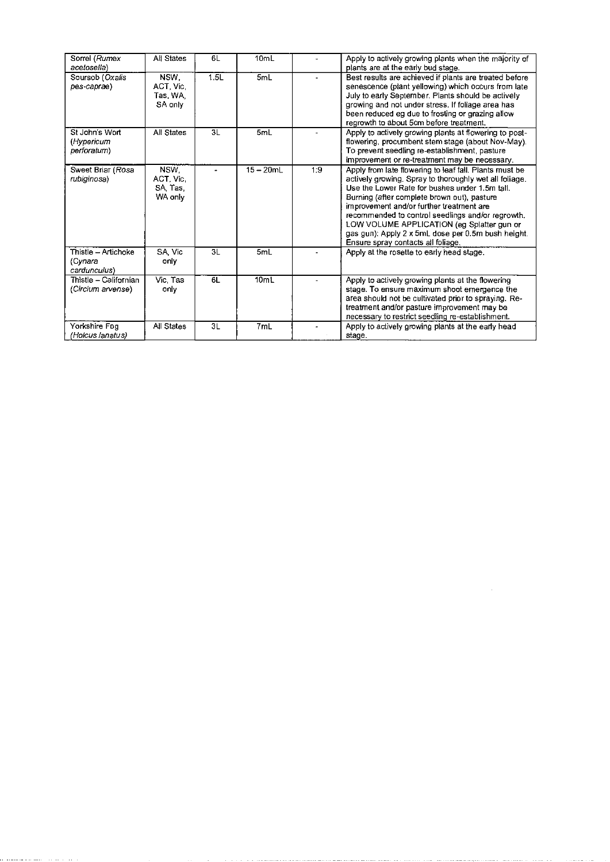| Sorrel (Rumex<br>acetosella)                   | All States                               | 6L   | 10mL             |     | Apply to actively growing plants when the majority of<br>plants are at the early bud stage.                                                                                                                                                                                                                                                                                                                                                                  |
|------------------------------------------------|------------------------------------------|------|------------------|-----|--------------------------------------------------------------------------------------------------------------------------------------------------------------------------------------------------------------------------------------------------------------------------------------------------------------------------------------------------------------------------------------------------------------------------------------------------------------|
| Soursob (Oxalis<br>pes-caprae)                 | NSW.<br>ACT, Vic,<br>Tas, WA,<br>SA only | 1.5L | 5mL              |     | Best results are achieved if plants are treated before<br>senescence (plant yellowing) which occurs from late<br>July to early September. Plants should be actively<br>growing and not under stress. If foliage area has<br>been reduced eg due to frosting or grazing allow<br>regrowth to about 5cm before treatment.                                                                                                                                      |
| St John's Wort<br>(Hypericum<br>perforatum)    | All States                               | 3L   | 5mL              |     | Apply to actively growing plants at flowering to post-<br>flowering, procumbent stem stage (about Nov-May).<br>To prevent seedling re-establishment, pasture<br>improvement or re-treatment may be necessary.                                                                                                                                                                                                                                                |
| Sweet Briar (Rosa<br>rubiginosa)               | NSW.<br>ACT. Vic.<br>SA Tas<br>WA only   |      | $15 - 20$ mL     | 1:9 | Apply from late flowering to leaf fall. Plants must be<br>actively growing. Spray to thoroughly wet all foliage.<br>Use the Lower Rate for bushes under 1.5m tall.<br>Burning (after complete brown out), pasture<br>improvement and/or further treatment are<br>recommended to control seedlings and/or regrowth.<br>LOW VOLUME APPLICATION (eg Splatter gun or<br>gas gun): Apply 2 x 5mL dose per 0.5m bush height.<br>Ensure spray contacts all foliage. |
| Thistle - Artichoke<br>(Cynara<br>cardunculus) | SA Vic<br>only                           | 3L   | 5mL              |     | Apply at the rosette to early head stage.                                                                                                                                                                                                                                                                                                                                                                                                                    |
| Thistle – Californian<br>(Circium arvense)     | Vic, Tas<br>only                         | 6L   | 10 <sub>mL</sub> |     | Apply to actively growing plants at the flowering<br>stage. To ensure maximum shoot emergence the<br>area should not be cultivated prior to spraying. Re-<br>treatment and/or pasture improvement may be<br>necessary to restrict seedling re-establishment.                                                                                                                                                                                                 |
| Yorkshire Fog<br>(Holcus lanatus)              | All States                               | 3L   | 7mL              |     | Apply to actively growing plants at the early head<br>stage.                                                                                                                                                                                                                                                                                                                                                                                                 |

 $\mathcal{L}^{\text{max}}_{\text{max}}$  ,  $\mathcal{L}^{\text{max}}_{\text{max}}$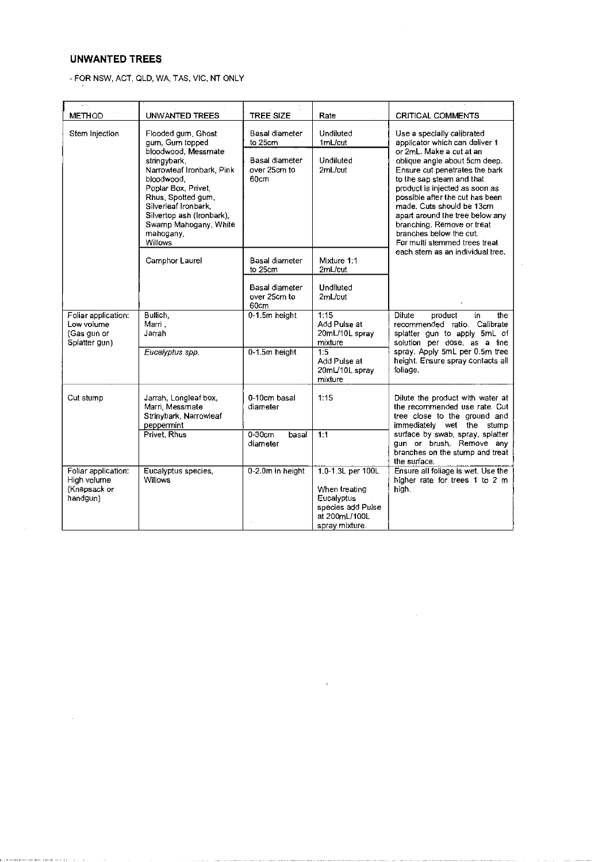# UNWANTED TREES

- FOR NSW, ACT, QLD, WA, TAS, VIC, NT ONLY

| <b>METHOD</b>                                                     | <b>UNWANTED TREES</b>                                                                                                                                                                                                             |                                        | Rate                                                                                                     | <b>CRITICAL COMMENTS</b>                                                                                                                                                                                                                                                                                                                                |  |
|-------------------------------------------------------------------|-----------------------------------------------------------------------------------------------------------------------------------------------------------------------------------------------------------------------------------|----------------------------------------|----------------------------------------------------------------------------------------------------------|---------------------------------------------------------------------------------------------------------------------------------------------------------------------------------------------------------------------------------------------------------------------------------------------------------------------------------------------------------|--|
| Stem Injection                                                    | Flooded gum, Ghost<br>gum, Gum topped                                                                                                                                                                                             | Basal diameter<br>to 25cm              | Undiluted<br>1mL/cut                                                                                     | Use a specially calibrated<br>applicator which can deliver 1                                                                                                                                                                                                                                                                                            |  |
|                                                                   | bloodwood, Messmate<br>stringybark.<br>Narrowleaf Ironbark, Pink<br>bloodwood.<br>Poplar Box, Privet,<br>Rhus, Spotted gum,<br>Silverleaf Ironbark.<br>Silvertop ash (Ironbark),<br>Swamp Mahogany, White<br>mahogany,<br>Willows | Basal diameter<br>over 25cm to<br>60cm | Undiluted<br>2mL/cut                                                                                     | or 2mL. Make a cut at an<br>oblique angle about 5cm deep.<br>Ensure cut penetrates the bark<br>to the sap steam and that<br>product is injected as soon as<br>possible after the cut has been<br>made. Cuts should be 13cm<br>apart around the tree below any<br>branching. Remove or treat<br>branches below the cut.<br>For multi stemmed trees treat |  |
|                                                                   | Camphor Laurel                                                                                                                                                                                                                    | <b>Basal diameter</b><br>to 25cm       | Mixture 1:1<br>2mL/cut                                                                                   | each stem as an individual tree.                                                                                                                                                                                                                                                                                                                        |  |
|                                                                   |                                                                                                                                                                                                                                   | Basal diameter<br>over 25cm to<br>60cm | <b>Undiluted</b><br>2mL/cut                                                                              |                                                                                                                                                                                                                                                                                                                                                         |  |
| Foliar application:<br>Low volume<br>(Gas gun or<br>Splatter gun) | Bullich.<br>Marri.<br>Jarrah                                                                                                                                                                                                      | 0-1.5m height                          | 1:15<br>Add Pulse at<br>20mL/10L spray<br>mixture                                                        | Dilute<br>product<br>the<br>in<br>recommended ratio. Calibrate<br>splatter gun to apply 5mL of<br>solution per dose, as a fine                                                                                                                                                                                                                          |  |
|                                                                   | Eucalyptus spp.                                                                                                                                                                                                                   | 0-1.5m height                          | $\overline{1.5}$<br>Add Pulse at<br>20mL/10L spray<br>mixture                                            | spray. Apply 5mL per 0.5m tree<br>height. Ensure spray contacts all<br>foliage.                                                                                                                                                                                                                                                                         |  |
| Cut stump                                                         | Jarrah, Longleaf box,<br>Marri, Messmate<br>Strinybark, Narrowleaf<br>peppermint                                                                                                                                                  | 0-10cm basal<br>diameter               | 1:15                                                                                                     | Dilute the product with water at<br>the recommended use rate. Cut<br>tree close to the ground and<br>immediately wet the stump                                                                                                                                                                                                                          |  |
|                                                                   | Privet, Rhus                                                                                                                                                                                                                      | $0-30$ cm<br>basal<br>diameter         | 1:1                                                                                                      | surface by swab, spray, splatter<br>gun or brush, Remove any<br>branches on the stump and treat<br>the surface.                                                                                                                                                                                                                                         |  |
| Foliar application:<br>High volume<br>(Knapsack or<br>handgun)    | Eucalyptus species,<br><b>Willows</b>                                                                                                                                                                                             | 0-2.0m in height                       | 1.0-1.3L per 100L<br>When treating<br>Eucalyptus<br>species add Pulse<br>at 200mL/100L<br>spray mixture. | Ensure all foliage is wet. Use the<br>higher rate for trees 1 to 2 m<br>high.                                                                                                                                                                                                                                                                           |  |

 $\ddot{\phantom{a}}$ 

 $\alpha$  and  $\beta$  , and  $\beta$  are  $\alpha$ 

المتحدث والمتناقي والمتحدث فالتنافذ فتعاد لهام العمالية والمتحار المستقرة والمستعيد والمتحرم والمتناقصة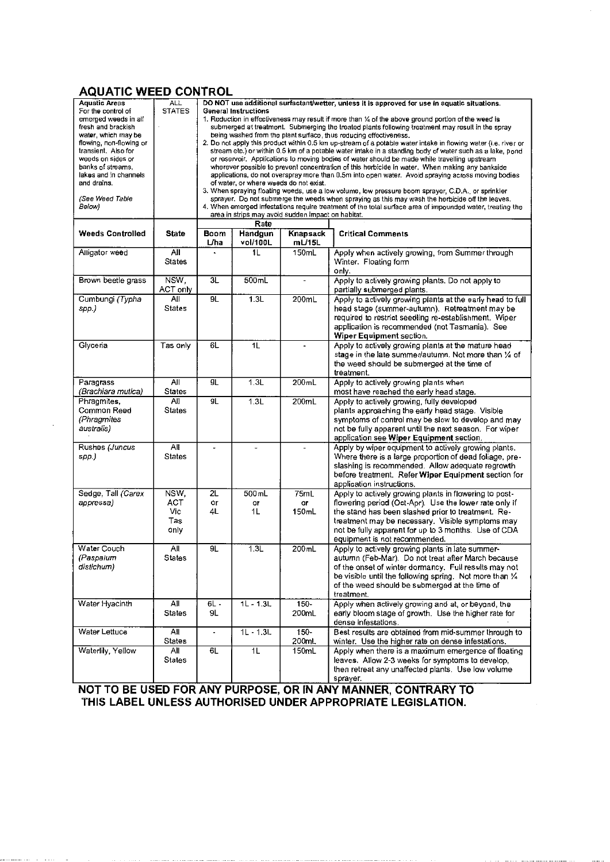# AQUATIC WEED CONTROL

| AQUATIV                                                                                                                                                                                                                                                                          |                                   |                                                                                                                                                                                                                                                                                                                                                                                                                                                                                                                                                                                                                                                                                                                                                                                                                                                                                                                                                                                                                                                                                                                                                                                                                                                                                                                                                                                       |                     |                     |                                                                                                                                                                                                                                                                                                                     |  |
|----------------------------------------------------------------------------------------------------------------------------------------------------------------------------------------------------------------------------------------------------------------------------------|-----------------------------------|---------------------------------------------------------------------------------------------------------------------------------------------------------------------------------------------------------------------------------------------------------------------------------------------------------------------------------------------------------------------------------------------------------------------------------------------------------------------------------------------------------------------------------------------------------------------------------------------------------------------------------------------------------------------------------------------------------------------------------------------------------------------------------------------------------------------------------------------------------------------------------------------------------------------------------------------------------------------------------------------------------------------------------------------------------------------------------------------------------------------------------------------------------------------------------------------------------------------------------------------------------------------------------------------------------------------------------------------------------------------------------------|---------------------|---------------------|---------------------------------------------------------------------------------------------------------------------------------------------------------------------------------------------------------------------------------------------------------------------------------------------------------------------|--|
| <b>Aquatic Areas</b><br>For the control of<br>emerged weeds in all<br>fresh and brackish<br>water, which may be<br>flowing, non-flowing or<br>transient. Also for<br>weeds on sides or<br>banks of streams,<br>lakes and in channels<br>and drains.<br>(See Weed Table<br>Below) | <b>ALL</b><br><b>STATES</b>       | DO NOT use additional surfactant/wetter, unless it is approved for use in aquatic situations.<br><b>General Instructions</b><br>1. Reduction in effectiveness may result if more than $\%$ of the above ground portion of the weed is<br>submerged at treatment. Submerging the treated plants following treatment may result in the spray<br>being washed from the plant surface, thus reducing effectiveness.<br>2. Do not apply this product within 0.5 km up-stream of a potable water intake in flowing water (i.e. river or<br>stream etc.) or within 0.5 km of a potable water intake in a standing body of water such as a lake, pond<br>or reservoir. Applications to moving bodies of water should be made while travelling upstream<br>wherever possible to prevent concentration of this herbicide in water. When making any bankside<br>applications, do not overspray more than 0.5m into open water. Avoid spraying across moving bodies<br>of water, or where weeds do not exist.<br>3. When spraying floating weeds, use a low volume, low pressure boom sprayer, C.D.A., or sprinkler<br>sprayer. Do not submerge the weeds when spraying as this may wash the herbicide off the leaves.<br>4. When emerged infestations require treatment of the total surface area of impounded water, treating the<br>area in strips may avoid sudden impact on habitat.<br>Rate |                     |                     |                                                                                                                                                                                                                                                                                                                     |  |
| <b>Weeds Controlled</b>                                                                                                                                                                                                                                                          | State                             | Boom<br>L/ha                                                                                                                                                                                                                                                                                                                                                                                                                                                                                                                                                                                                                                                                                                                                                                                                                                                                                                                                                                                                                                                                                                                                                                                                                                                                                                                                                                          | Handgun<br>vol/100L | Knapsack<br>mL/15L  | <b>Critical Comments</b>                                                                                                                                                                                                                                                                                            |  |
| Alligator weed                                                                                                                                                                                                                                                                   | All<br><b>States</b>              |                                                                                                                                                                                                                                                                                                                                                                                                                                                                                                                                                                                                                                                                                                                                                                                                                                                                                                                                                                                                                                                                                                                                                                                                                                                                                                                                                                                       | 1L                  | 150mL               | Apply when actively growing, from Summer through<br>Winter. Floating form<br>only.                                                                                                                                                                                                                                  |  |
| Brown beetle grass                                                                                                                                                                                                                                                               | NSW,<br>ACT only                  | $\overline{\text{3L}}$                                                                                                                                                                                                                                                                                                                                                                                                                                                                                                                                                                                                                                                                                                                                                                                                                                                                                                                                                                                                                                                                                                                                                                                                                                                                                                                                                                | 500mL               |                     | Apply to actively growing plants. Do not apply to<br>partially submerged plants.                                                                                                                                                                                                                                    |  |
| Cumbungi (Typha<br>sop.)                                                                                                                                                                                                                                                         | $\overline{All}$<br><b>States</b> | 9L                                                                                                                                                                                                                                                                                                                                                                                                                                                                                                                                                                                                                                                                                                                                                                                                                                                                                                                                                                                                                                                                                                                                                                                                                                                                                                                                                                                    | 1.3L                | 200mL               | Apply to actively growing plants at the early head to full<br>head stage (summer-autumn). Retreatment may be<br>required to restrict seedling re-establishment. Wiper<br>application is recommended (not Tasmania). See<br>Wiper Equipment section.                                                                 |  |
| Glyceria                                                                                                                                                                                                                                                                         | Tas only                          | 6L                                                                                                                                                                                                                                                                                                                                                                                                                                                                                                                                                                                                                                                                                                                                                                                                                                                                                                                                                                                                                                                                                                                                                                                                                                                                                                                                                                                    | 1 <sub>L</sub>      |                     | Apply to actively growing plants at the mature head<br>stage in the late summer/autumn. Not more than 1/4 of<br>the weed should be submerged at the time of<br>treatment.                                                                                                                                           |  |
| Paragrass<br>(Brachiara mutica)                                                                                                                                                                                                                                                  | A<br>States                       | $\overline{g_L}$                                                                                                                                                                                                                                                                                                                                                                                                                                                                                                                                                                                                                                                                                                                                                                                                                                                                                                                                                                                                                                                                                                                                                                                                                                                                                                                                                                      | 1.3L                | 200mL               | Apply to actively growing plants when<br>most have reached the early head stage.                                                                                                                                                                                                                                    |  |
| Phragmites,<br>Common Reed<br>(Phragmites<br>australis)                                                                                                                                                                                                                          | All<br>States                     | 9L                                                                                                                                                                                                                                                                                                                                                                                                                                                                                                                                                                                                                                                                                                                                                                                                                                                                                                                                                                                                                                                                                                                                                                                                                                                                                                                                                                                    | 1.3L                | 200mL               | Apply to actively growing, fully developed<br>plants approaching the early head stage. Visible<br>symptoms of control may be slow to develop and may<br>not be fully apparent until the next season. For wiper<br>application see Wiper Equipment section.                                                          |  |
| Rushes (Juncus<br>spp.)                                                                                                                                                                                                                                                          | All<br><b>States</b>              |                                                                                                                                                                                                                                                                                                                                                                                                                                                                                                                                                                                                                                                                                                                                                                                                                                                                                                                                                                                                                                                                                                                                                                                                                                                                                                                                                                                       |                     |                     | Apply by wiper equipment to actively growing plants.<br>Where there is a large proportion of dead foliage, pre-<br>slashing is recommended. Allow adequate regrowth<br>before treatment. Refer Wiper Equipment section for<br>application instructions.                                                             |  |
| Sedge, Tall (Carex<br>appressa)                                                                                                                                                                                                                                                  | NSW,<br>ACT<br>Vic<br>Tas<br>only | 2L<br>or<br>4L                                                                                                                                                                                                                                                                                                                                                                                                                                                                                                                                                                                                                                                                                                                                                                                                                                                                                                                                                                                                                                                                                                                                                                                                                                                                                                                                                                        | 500mL<br>or<br>1L   | 75mL<br>or<br>150mL | Apply to actively growing plants in flowering to post-<br>flowering period (Oct-Apr). Use the lower rate only if<br>the stand has been slashed prior to treatment. Re-<br>treatment may be necessary. Visible symptoms may<br>not be fully apparent for up to 3 months. Use of CDA<br>equipment is not recommended. |  |
| Water Couch<br>(Paspalum<br>distichum)                                                                                                                                                                                                                                           | All<br>States                     | 9L                                                                                                                                                                                                                                                                                                                                                                                                                                                                                                                                                                                                                                                                                                                                                                                                                                                                                                                                                                                                                                                                                                                                                                                                                                                                                                                                                                                    | 1.3L                | 200mL               | Apply to actively growing plants in late summer-<br>autumn (Feb-Mar). Do not treat after March because<br>of the onset of winter dormancy. Full results may not<br>be visible until the following spring. Not more than 1/4<br>of the weed should be submerged at the time of<br>treatment.                         |  |
| Water Hyacinth                                                                                                                                                                                                                                                                   | All<br>States                     | 6L -<br>9L.                                                                                                                                                                                                                                                                                                                                                                                                                                                                                                                                                                                                                                                                                                                                                                                                                                                                                                                                                                                                                                                                                                                                                                                                                                                                                                                                                                           | $1L - 1.3L$         | $150 -$<br>200mL    | Apply when actively growing and at, or beyond, the<br>early bloom stage of growth. Use the higher rate for<br>dense infestations.                                                                                                                                                                                   |  |
| Water Lettuce                                                                                                                                                                                                                                                                    | AΙΙ<br><b>States</b>              | ÷.                                                                                                                                                                                                                                                                                                                                                                                                                                                                                                                                                                                                                                                                                                                                                                                                                                                                                                                                                                                                                                                                                                                                                                                                                                                                                                                                                                                    | $1L - 1.3L$         | 150-<br>200mL       | Best results are obtained from mid-summer through to<br>winter. Use the higher rate on dense infestations.                                                                                                                                                                                                          |  |
| Waterlily, Yellow                                                                                                                                                                                                                                                                | Αll<br>States                     | 6L                                                                                                                                                                                                                                                                                                                                                                                                                                                                                                                                                                                                                                                                                                                                                                                                                                                                                                                                                                                                                                                                                                                                                                                                                                                                                                                                                                                    | 1L                  | 150mL               | Apply when there is a maximum emergence of floating<br>leaves. Allow 2-3 weeks for symptoms to develop,<br>then retreat any unaffected plants. Use low volume<br>sprayer.                                                                                                                                           |  |

NOT TO BE USED FOR ANY PURPOSE, OR IN ANY MANNER, CONTRARY TO THIS LABEL UNLESS AUTHORISED UNDER APPROPRIATE LEGISLATION.

**Consideration** of the contract of the contract of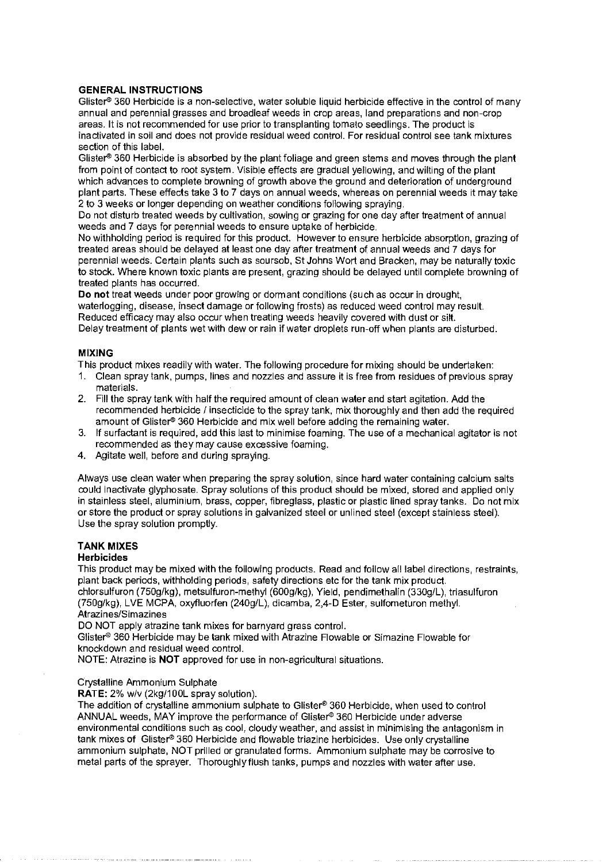#### **GENERAL INSTRUCTIONS**

Glister<sup>®</sup> 360 Herbicide is a non-selective, water soluble liquid herbicide effective in the control of many annual and perennial grasses and broadleaf weeds in crop areas, land preparations and non-crop areas. It is not recommended for use prior to transplanting tomato seedlings. The product is inactivated in soil and does not provide residual weed control. For residual control see tank mixtures section of this label.

Glister<sup>®</sup> 360 Herbicide is absorbed by the plant foliage and green stems and moves through the plant from point of contact to root system. Visible effects are gradual yellowing, and wilting of the plant which advances to complete browning of growth above the ground and deterioration of underground plant parts. These effects take 3 to 7 days on annual weeds, whereas on perennial weeds it may take 2 to 3 weeks or longer depending on weather conditions following spraying.

Do not disturb treated weeds by cultivation, sowing or grazing for one day after treatment of annual weeds and 7 days for perennial weeds to ensure uptake of herbicide.

No withholding period is required for this product. However to ensure herbicide absorption, grazing of treated areas should be delayed at least one day after treatment of annual weeds and 7 days for perennial weeds. Certain plants such as soursob, St Johns Wort and Bracken, may be naturally toxic to stock. Where known toxic plants are present, grazing should be delayed until complete browning of treated plants has occurred.

**Do not** treat weeds under poor growing or dormant conditions (such as occur in drought, waterlogging, disease, insect damage or following frosts) as reduced weed control may result. Reduced efficacy may also occur when treating weeds heavily covered with dust or silt. Delay treatment of plants wet with dew or rain if water droplets run-off when plants are disturbed.

#### **MIXING**

This product mixes readily with water. The following procedure for mixing should be undertaken:

- 1. Clean spray tank, pumps, lines and nozzles and assure it is free from residues of previous spray materials.
- 2. Fill the spray tank with half the required amount of clean water and start agitation. Add the recommended herbicide / insecticide to the spray tank, mix thoroughly and then add the required amount of Glister® 360 Herbicide and mix well before adding the remaining water.
- 3. If surfactant is required, add this last to minimise foaming. The use of a mechanical agitator is not recommended as they may cause excessive foaming.
- 4. Agitate well, before and during spraying.

Always use clean water when preparing the spray solution, since hard water containing calcium salts could inactivate glyphosate. Spray solutions of this product should be mixed, stored and applied only in stainless steel, aluminium, brass, copper, fibreglass, plastic or plastic lined spray tanks. Do not mix or store the product or spray solutions in galvanized steel or unlined steel (except stainless steel). Use the spray solution promptly.

### **TANK MIXES**

#### **Herbicides**

This product may be mixed with the following products. Read and follow all label directions, restraints, plant back periods, withholding periods, safety directions etc for the tank mix product.

chlorsulfuron (750g/kg), metsulfuron-methyl (600g/kg), Yield, pendimethalin (330g/L), triasulfuron (750g/kg), LVE MCPA, oxyfluorfen (240g/L), dicamba, 2,4-D Ester, sulfometuron methyl. Atrazines/Simazines

DO NOT apply atrazine tank mixes for barnyard grass control.

Glister<sup>®</sup> 360 Herbicide may be tank mixed with Atrazine Flowable or Simazine Flowable for knockdown and residual weed control.

NOTE: Atrazine is **NOT** approved for use in non-agricultural situations.

#### Crystalline Ammonium Sulphate

**RATE:** 2% w/v (2kg/100L spray solution).

The addition of crystalline ammonium sulphate to Glister® 360 Herbicide, when used to control ANNUAL weeds, MAY improve the performance of Glister® 360 Herbicide under adverse environmental conditions such as cool, cloudy weather, and assist in minimising the antagonism in tank mixes of Glister® 360 Herbicide and flowable triazine herbicides. Use only crystalline ammonium sulphate, NOT prilled or granulated forms. Ammonium sulphate may be corrosive to metal parts of the sprayer. Thoroughly flush tanks, pumps and nozzles with water after use.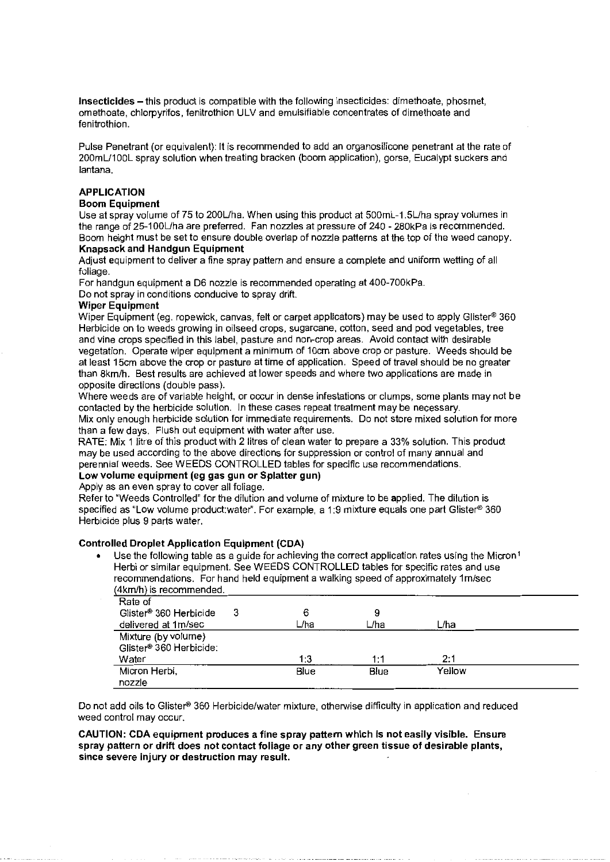**Insecticides-** this product is compatible with the following insecticides: dimethoate, phosmet, omethoate, chlorpyrifos, fenitrothion ULV and emulsifiable concentrates of dimethoate and fenitrothion.

Pulse Penetrant (or equivalent): II is recommended to add an organosilicone penetrant at the rate of 200mL/100L spray solution when treating bracken (boom application), gorse, Eucalypt suckers and lantana.

### **APPLICATION**

#### **Boom Equipment**

Use at spray volume of 75 to 200L/ha. When using this product at 500mL-1.5L/ha spray volumes in the range of 25-1 OOL/ha are preferred. Fan nozzles at pressure of 240 - 280kPa is recommended. Boom height must be set to ensure double overlap of nozzle patterns at the top of the weed canopy. **Knapsack and Handgun Equipment** 

Adjust equipment to deliver a fine spray pattern and ensure a complete and uniform wetting of all foliage.

For handgun equipment a D6 nozzle is recommended operating at 400-?00kPa.

Do not spray in conditions conducive to spray drift.

#### **Wiper Equipment**

Wiper Equipment (eg. ropewick, canvas, felt or carpet applicators) may be used to apply Glister® 360 Herbicide on to weeds growing in oilseed crops, sugarcane, cotton, seed and pod vegetables, tree and vine crops specified in this label, pasture and non-crop areas. Avoid contact with desirable vegetation. Operate wiper equipment a minimum of 10cm above crop or pasture. Weeds should be at least 15cm above the crop or pasture at time of application. Speed of travel should be no greater than Bkm/h. Best results are achieved at lower speeds and where two applications are made in opposite directions (double pass).

Where weeds are of variable height, or occur in dense infestations or clumps, some plants may not be contacted by the herbicide solution. In these cases repeat treatment may be necessary.

Mix only enough herbicide solution for immediate requirements. Do not store mixed solution for more than a few days. Flush out equipment with water after use.

RATE: Mix 1 litre of this product with 2 litres of clean water to prepare a 33% solution. This product may be used according to the above directions for suppression or control of many annual and perennial weeds. See WEEDS CONTROLLED tables for specific use recommendations.

## **Low volume equipment (eg gas gun or Splatter gun)**

Apply as an even spray to cover all foliage.

Refer to "Weeds Controlled" for the dilution and volume of mixture to be applied. The dilution is specified as "Low volume product:water". For example, a 1:9 mixture equals one part Glister® 360 Herbicide plus 9 parts water.

#### **Controlled Droplet Application Equipment (CDA)**

Use the following table as a guide for achieving the correct application rates using the Micron<sup>1</sup> Herbi or similar equipment. See WEEDS CONTROLLED tables for specific rates and use recommendations. For hand held equipment a walking speed of approximately 1m/sec (4km/h) is recommended.

| Rate of                             |   |      |      |        |  |
|-------------------------------------|---|------|------|--------|--|
| Glister <sup>®</sup> 360 Herbicide  | 3 |      | 9    |        |  |
| delivered at 1m/sec                 |   | L/ha | L/ha | L/ha   |  |
| Mixture (by volume)                 |   |      |      |        |  |
| Glister <sup>®</sup> 360 Herbicide: |   |      |      |        |  |
| Water                               |   | 1:3  | 1:1  | 2:1    |  |
| Micron Herbi,                       |   | Blue | Blue | Yellow |  |
| nozzle                              |   |      |      |        |  |

Do not add oils to Glister® 360 Herbicide/water mixture, otherwise difficulty in application and reduced weed control may occur.

**CAUTION: CDA equipment produces a fine spray pattern which is not easily visible. Ensure spray pattern or drift does not contact foliage or any other green tissue of desirable plants, since severe injury or destruction may result.**